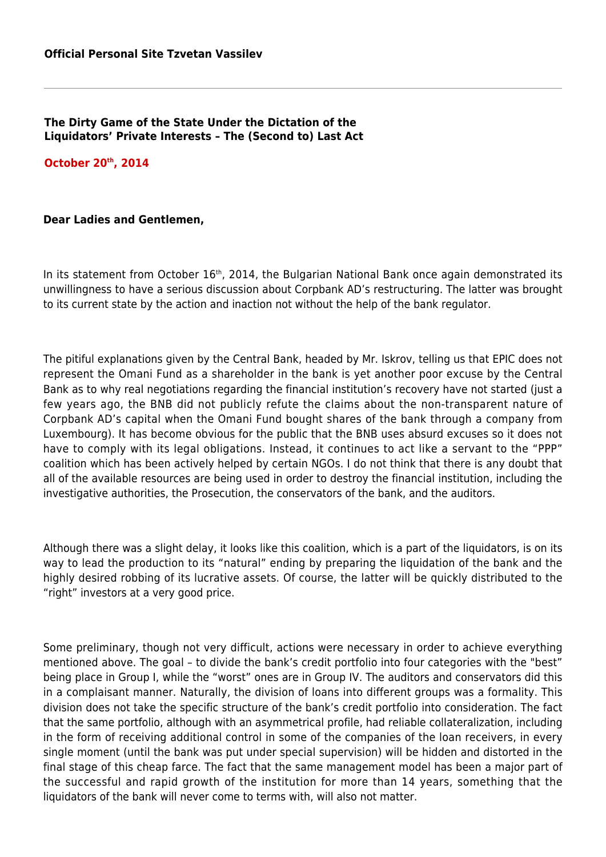## **The Dirty Game of the State Under the Dictation of the Liquidators' Private Interests – The (Second to) Last Act**

**October 20th, 2014**

## **Dear Ladies and Gentlemen,**

In its statement from October 16<sup>th</sup>, 2014, the Bulgarian National Bank once again demonstrated its unwillingness to have a serious discussion about Corpbank AD's restructuring. The latter was brought to its current state by the action and inaction not without the help of the bank regulator.

The pitiful explanations given by the Central Bank, headed by Mr. Iskrov, telling us that EPIC does not represent the Omani Fund as a shareholder in the bank is yet another poor excuse by the Central Bank as to why real negotiations regarding the financial institution's recovery have not started (just a few years ago, the BNB did not publicly refute the claims about the non-transparent nature of Corpbank AD's capital when the Omani Fund bought shares of the bank through a company from Luxembourg). It has become obvious for the public that the BNB uses absurd excuses so it does not have to comply with its legal obligations. Instead, it continues to act like a servant to the "PPP" coalition which has been actively helped by certain NGOs. I do not think that there is any doubt that all of the available resources are being used in order to destroy the financial institution, including the investigative authorities, the Prosecution, the conservators of the bank, and the auditors.

Although there was a slight delay, it looks like this coalition, which is a part of the liquidators, is on its way to lead the production to its "natural" ending by preparing the liquidation of the bank and the highly desired robbing of its lucrative assets. Of course, the latter will be quickly distributed to the "right" investors at a very good price.

Some preliminary, though not very difficult, actions were necessary in order to achieve everything mentioned above. The goal – to divide the bank's credit portfolio into four categories with the "best" being place in Group I, while the "worst" ones are in Group IV. The auditors and conservators did this in a complaisant manner. Naturally, the division of loans into different groups was a formality. This division does not take the specific structure of the bank's credit portfolio into consideration. The fact that the same portfolio, although with an asymmetrical profile, had reliable collateralization, including in the form of receiving additional control in some of the companies of the loan receivers, in every single moment (until the bank was put under special supervision) will be hidden and distorted in the final stage of this cheap farce. The fact that the same management model has been a major part of the successful and rapid growth of the institution for more than 14 years, something that the liquidators of the bank will never come to terms with, will also not matter.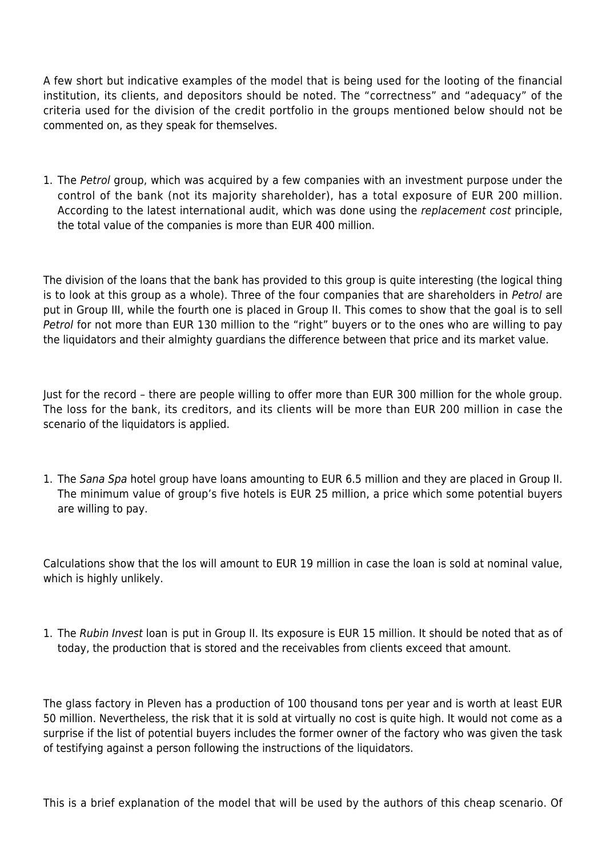A few short but indicative examples of the model that is being used for the looting of the financial institution, its clients, and depositors should be noted. The "correctness" and "adequacy" of the criteria used for the division of the credit portfolio in the groups mentioned below should not be commented on, as they speak for themselves.

1. The Petrol group, which was acquired by a few companies with an investment purpose under the control of the bank (not its majority shareholder), has a total exposure of EUR 200 million. According to the latest international audit, which was done using the replacement cost principle, the total value of the companies is more than EUR 400 million.

The division of the loans that the bank has provided to this group is quite interesting (the logical thing is to look at this group as a whole). Three of the four companies that are shareholders in Petrol are put in Group III, while the fourth one is placed in Group II. This comes to show that the goal is to sell Petrol for not more than EUR 130 million to the "right" buyers or to the ones who are willing to pay the liquidators and their almighty guardians the difference between that price and its market value.

Just for the record – there are people willing to offer more than EUR 300 million for the whole group. The loss for the bank, its creditors, and its clients will be more than EUR 200 million in case the scenario of the liquidators is applied.

1. The Sana Spa hotel group have loans amounting to EUR 6.5 million and they are placed in Group II. The minimum value of group's five hotels is EUR 25 million, a price which some potential buyers are willing to pay.

Calculations show that the los will amount to EUR 19 million in case the loan is sold at nominal value, which is highly unlikely.

1. The Rubin Invest loan is put in Group II. Its exposure is EUR 15 million. It should be noted that as of today, the production that is stored and the receivables from clients exceed that amount.

The glass factory in Pleven has a production of 100 thousand tons per year and is worth at least EUR 50 million. Nevertheless, the risk that it is sold at virtually no cost is quite high. It would not come as a surprise if the list of potential buyers includes the former owner of the factory who was given the task of testifying against a person following the instructions of the liquidators.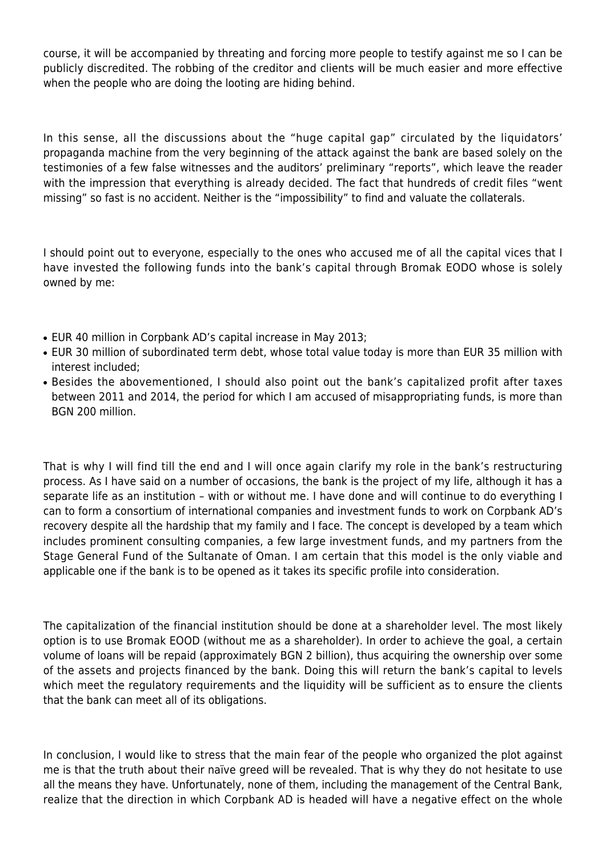course, it will be accompanied by threating and forcing more people to testify against me so I can be publicly discredited. The robbing of the creditor and clients will be much easier and more effective when the people who are doing the looting are hiding behind.

In this sense, all the discussions about the "huge capital gap" circulated by the liquidators' propaganda machine from the very beginning of the attack against the bank are based solely on the testimonies of a few false witnesses and the auditors' preliminary "reports", which leave the reader with the impression that everything is already decided. The fact that hundreds of credit files "went missing" so fast is no accident. Neither is the "impossibility" to find and valuate the collaterals.

I should point out to everyone, especially to the ones who accused me of all the capital vices that I have invested the following funds into the bank's capital through Bromak EODO whose is solely owned by me:

- EUR 40 million in Corpbank AD's capital increase in May 2013;
- EUR 30 million of subordinated term debt, whose total value today is more than EUR 35 million with interest included;
- Besides the abovementioned, I should also point out the bank's capitalized profit after taxes between 2011 and 2014, the period for which I am accused of misappropriating funds, is more than BGN 200 million.

That is why I will find till the end and I will once again clarify my role in the bank's restructuring process. As I have said on a number of occasions, the bank is the project of my life, although it has a separate life as an institution – with or without me. I have done and will continue to do everything I can to form a consortium of international companies and investment funds to work on Corpbank AD's recovery despite all the hardship that my family and I face. The concept is developed by a team which includes prominent consulting companies, a few large investment funds, and my partners from the Stage General Fund of the Sultanate of Oman. I am certain that this model is the only viable and applicable one if the bank is to be opened as it takes its specific profile into consideration.

The capitalization of the financial institution should be done at a shareholder level. The most likely option is to use Bromak EOOD (without me as a shareholder). In order to achieve the goal, a certain volume of loans will be repaid (approximately BGN 2 billion), thus acquiring the ownership over some of the assets and projects financed by the bank. Doing this will return the bank's capital to levels which meet the regulatory requirements and the liquidity will be sufficient as to ensure the clients that the bank can meet all of its obligations.

In conclusion, I would like to stress that the main fear of the people who organized the plot against me is that the truth about their naïve greed will be revealed. That is why they do not hesitate to use all the means they have. Unfortunately, none of them, including the management of the Central Bank, realize that the direction in which Corpbank AD is headed will have a negative effect on the whole